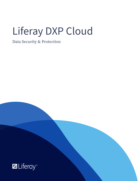# Liferay DXP Cloud

Data Security & Protection

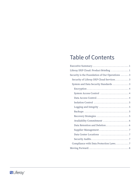### **Table of Contents**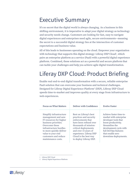## <span id="page-2-0"></span>Executive Summary

It's no secret that the digital world is always changing. As a business in this shifting environment, it is imperative to adapt your digital strategy as technology and security needs change. Customers are looking for fast, easy-to-navigate digital experiences and enterprises need agile, secure environments—meaning the secret to a successful digital strategy lies at the intersection of customer expectations and business value.

All of this leads to businesses operating on the cloud. Empower your organization with technology that supports this digital strategy: Liferay DXP Cloud<sup>1</sup>, which pairs an enterprise platform as a service (PaaS) with a powerful digital experience platform. Combined, these solutions act as a powerful and secure platform that can tackle your challenges and help you achieve agile digital transformation.

# Liferay DXP Cloud: Product Briefing

Enable real end-to-end digital transformation with a secure, reliable enterprise PaaS solution that can overcome your business and technical challenges. Designed for Liferay Digital Experience Platform<sup>2</sup> (DXP), Liferay DXP Cloud speeds time-to-market and improves quality at every stage from infrastructure to web experiences.

| <b>Focus on What Matters</b>                                                                                                                                                                                                                | <b>Deliver with Confidence</b>                                                                                                                                                                                                                         | <b>Evolve Faster</b>                                                                                                                                                                                              |
|---------------------------------------------------------------------------------------------------------------------------------------------------------------------------------------------------------------------------------------------|--------------------------------------------------------------------------------------------------------------------------------------------------------------------------------------------------------------------------------------------------------|-------------------------------------------------------------------------------------------------------------------------------------------------------------------------------------------------------------------|
| Simplify infrastructure<br>management and save<br>IT resources for higher<br>business priorities.<br>Overcome these<br>infrastructure hurdles<br>to more quickly deliver<br>value to your end<br>customers and reduce<br>maintenance costs. | Rest on Liferay's best<br>practices and security<br>enforcements that<br>have been refined over<br>thousands of mission-<br>critical deployments<br>and over 15 years of<br>experience. Liferay DXP<br>Cloud is the best way<br>to deploy Liferay DXP. | Achieve faster time-to-<br>market with enterprise<br>developer tools that<br>boost productivity.<br>Streamline the<br>development cycle with<br>full DevOps features<br>that enable zero<br>downtime deployments. |

[<sup>1</sup> Liferay DXP Cloud](https://www.liferay.com/products/dxp-cloud)

[<sup>2</sup> Liferay Digital Experience Platform](https://www.liferay.com/products/dxp)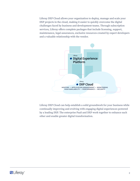Liferay DXP Cloud allows your organization to deploy, manage and scale your DXP projects in the cloud, making it easier to quickly overcome the digital challenges faced by business and development teams. Through subscription services, Liferay offers complete packages that include licensing, support, maintenance, legal assurances, exclusive resources created by expert developers and a valuable relationship with the vendor.



Liferay DXP Cloud can help establish a solid groundwork for your business while continually improving and evolving with engaging digital experiences powered by a leading DXP. The enterprise PaaS and DXP work together to enhance each other and enable greater digital transformation.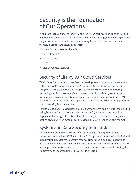## <span id="page-4-0"></span>Security is the Foundation of Our Operations

With more than 250 internal controls and top-notch certifications, such as ISO27001 and SOC2, Liferay DXP Cloud is a robust solution for running your digital experience project with the tools and controls necessary for your IT team — all without worrying about compliance or security.

Our certification program includes:

- SOC 2 Type 1 & 2
- ISO/IEC 27001
- HIPAA
- CSA Corporate Member

### Security of Liferay DXP Cloud Services

The Liferay Cloud team approaches the development of products and solutions with a Secure by Design approach. We know that security cannot be taken for granted. Instead, it must be integral to the heartbeat of the underlying technology and architecture. One way we accomplish this is by training our development team. With extensive security awareness courses and the OWASP standard, all Liferay Cloud developers are required to pass the training program before working in the codebase.

Liferay Cloud has also established a rigid Software Development Life Cycle (SDLC), using best practices for code review, testing and QA compliance, as well as deployment strategy. The entire lifecycle is designed to ensure that only clean, secure, tested and reviewed code is released into our production environment.

### System and Data Security Standards

Liferay is committed to the safety of customer data. As required by data protection laws such as GDPR and others, Liferay has taken several technical and organizational measures to ensure data security in the cloud. Our operations also come with Liferay's dedicated Security Committee — whose aim is to ensure all the policies, controls and best practices are being followed while driving the improvement and evolution of the security program.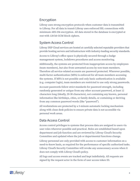#### <span id="page-5-0"></span>Encryption

Liferay uses strong encryption protocols when customer data is transmitted to Liferay. For all data in transit Liferay uses enforced SSL connections with minimum AES-256 encryption. All data stored in the database is encrypted at rest with 128 bit GCM block ciphers.

#### System Access Control

Liferay DXP Cloud services are hosted at carefully selected reputable providers that provide hosting servers and infrastructure with industry-leading security standards.

Access to Liferay's office space is physically secured through a badge management system, lockdown procedures and access monitoring.

Additionally, the systems are protected from inappropriate access by employees (team members), but also from unwanted access by non-team members. Therefore all service-related accounts are password protected. Wherever possible, multi-factor authentication (MFA) is enforced for all team members accessing the systems. If MFA is not possible and only basic authentication is available (e.g. computer login), team members are restricted to use only strong passwords.

Account passwords follow strict standards for password strength, including randomly generated or unique from any other account password, at least 12 characters long (ideally, 20-30 characters), not containing any known, personal information like birthdays, cities, or family details, or containing or deriving from any common password words (like "password").

All workstations are protected by a 5-minute automatic locking mechanism along with clean desk policies to ensure private data is not accessible via personal work areas.

#### Data Access Control

Access control privileges to systems that process data are assigned to users via user roles wherever possible and practical. Roles are established based upon department and job function and are reviewed by Liferay Cloud's Security Committee and updated when the job or departmental functions change.

Liferay personnel are only provided with access to customer information on a need-to-know basis, as required for the performance of specific authorized tasks. Liferay Cloud's Security Committee will revoke any unnecessary access when it does not comply with Liferay Cloud's policy.

All logs and access events are tracked and kept indefinitely. All requests are signed by the request actor in the form of user access token ID.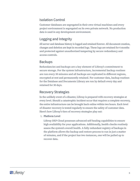#### <span id="page-6-0"></span>Isolation Control

Customer databases are segregated in their own virtual machines and every project environment is segregated on its own private network. No production data is used in any development environment.

#### Logging and Integrity

All server and database history is logged and retained forever. All document creation, changes and deletion are kept in recorded logs. These logs are retained for 6 months and protected against unauthorized tampering by secure redundancy and access controls.

#### Backups

Redundancies and backups are a key element of Liferay's commitment to secure storage. For the system infrastructure, incremental backup routines are run every 30 minutes and all backups are replicated in different regions, encrypted at rest and permanently retained. For customer data, backup routines for the Database and Documents Library are run by default every day and retained for 30 days.

#### Recovery Strategies

In the unlikely event of a disaster, Liferay is prepared with recovery strategies at every level. Should a catastrophic incident occur that requires a complete recovery, the entire infrastructure can be brought back online within two hours. Each level of disaster recovery is tested regularly to ensure the safety of customer data. Here's how Liferay's tiers of recovery strategies play out:

1. **Platform Level**

Liferay DXP Cloud possesses advanced self-healing capabilities to ensure high availability for your applications. Additionally, health checks routinely assess the system's overall health. A fully redundant registry of backups in the platform allows the backup and restore process to run in just a matter of minutes, and if the project has two instances, one will be pulled up to recover data.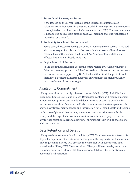#### <span id="page-7-0"></span>2. **Server Level: Recovery on Server**

If the issue is on the server level, all of the services are automatically relocated to another server in the same availability zone (AZ) and the recovery is completed on the cloud provider's virtual machine (VM). The customer data is not affected because it is already multi-AZ (meaning that it is replicated on more than one server).

#### 3. **Availability Zone Level: Recovery on AZ**

At this point, the issue is affecting the entire AZ rather than one server. DXP Cloud also has strategies for this, and in the case of such an event, all services are relocated to another server in a different AZ. Again, customer data is not affected because it is already multi-AZ.

#### 4. **Region Level: Full Recovery**

In the event that a situation affects the entire region, DXP Cloud will start a full-crash recovery process, which takes two hours. Separate disaster recovery environments are supported by DXP Cloud and if utilized, the project would then have a dedicated Disaster Recovery environment for high availability purposes located in another region.

#### Availability Commitment

Liferay commits to a monthly infrastructure availability (MIA) of 99.95% for a customer's Liferay DXP Cloud project. Designated contacts will receive an email announcement prior to any scheduled downtime and as soon as possible for unplanned downtime. Customers will also have access to the status page which shows downtimes, maintenances and information for all cloud assets and regions.

In the case of planned downtimes, customers can access the reason for the outage and the expected downtime duration from the status page. If there are any further questions during a downtime, our support team will be available to address concerns.

#### Data Retention and Deletion

Liferay retains customer's data in the Liferay DXP Cloud services for a term of 14 days after expiration of a customer's subscription. During this term, the customer may request and Liferay will provide the customer with access to its data stored in the Liferay DXP Cloud services. Liferay will irretrievably remove all customer data from Liferay DXP Cloud services 30 days after expiration of a customer's subscription.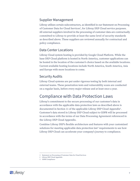#### <span id="page-8-0"></span>Supplier Management

Liferay utilizes certain subcontractors, as identified in our Statement on Processing of Customer Data for Cloud Services<sup>3</sup>, for Liferay DXP Cloud service purposes. All external suppliers involved in the processing of customer data are contractually committed to Liferay to provide at least the same level of security standards as described above. These suppliers are reviewed annually for contractual and policy compliance.

#### Data Center Locations

Liferay Cloud system hosting is provided by Google Cloud Platform. While the base DXP Cloud platform is hosted in North America, customer applications can be hosted in the location of the customer's choice based on the available locations. Current available hosting locations include North America, South America, Asia and Europe with more locations to come.

#### Security Audits

Liferay Cloud systems are put under rigorous testing by both internal and external teams. These penetration tests and vulnerability scans are conducted on a regular basis, before every major release and at least once a year.

### Compliance with Data Protection Laws

Liferay's commitment to the secure processing of our customer's data in accordance with the applicable data protection laws as described above is documented in Section 11 of the applicable Liferay DXP Cloud Appendix<sup>4</sup>. Customer's data stored in Liferay DXP Cloud subject to GDPR will be processed in accordance with the terms of our Data Processing Agreement referenced in the Liferay DXP Cloud Appendix.

Combine Liferay DXP's flexible architecture and features with your customized solutions for meeting applicable data protection law<sup>5</sup> requirements to see how Liferay DXP Cloud can accelerate your company's journey to compliance.

[<sup>3</sup> Statement on Processing of Customer Data for Cloud Services](http://www.liferay.com/legal/cloud-services-data)

[<sup>4</sup> Liferay DXP Cloud Appendix](https://www.liferay.com/legal)

[<sup>5</sup> GDPR Compliance](https://www.liferay.com/gdpr)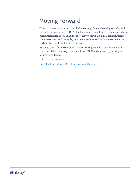# <span id="page-9-0"></span>Moving Forward

When it comes to adapting your digital strategy due to changing security and technology needs, Liferay DXP Cloud is uniquely positioned to help you achieve digital transformation. Build the fast, easy-to-navigate digital environments customers want and the agile, secure environments your business needs on a certifiably reliable and secure platform.

Ready to see Liferay DXP Cloud in action? Request a live customized demo from our Sales team so you can see how DXP Cloud can solve your digital strategy challenges.

[Talk to our Sales team](https://www.liferay.com/request-a-demo).

[Download the Liferay DXP Cloud Features Overview](https://www.liferay.com/resource?folderId=3292406&title=Liferay+DXP+Cloud+Features+List).